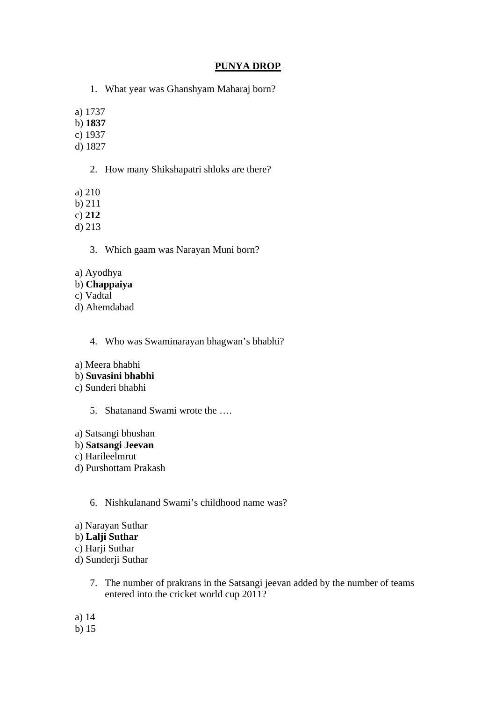# **PUNYA DROP**

1. What year was Ghanshyam Maharaj born?

a) 1737

b) **1837**

c) 1937

d) 1827

- 2. How many Shikshapatri shloks are there?
- a) 210

b) 211

c) **212**

d) 213

3. Which gaam was Narayan Muni born?

a) Ayodhya

# b) **Chappaiya**

c) Vadtal

d) Ahemdabad

4. Who was Swaminarayan bhagwan's bhabhi?

- a) Meera bhabhi
- b) **Suvasini bhabhi**
- c) Sunderi bhabhi
	- 5. Shatanand Swami wrote the ….

a) Satsangi bhushan

- b) **Satsangi Jeevan**
- c) Harileelmrut
- d) Purshottam Prakash

6. Nishkulanand Swami's childhood name was?

- a) Narayan Suthar
- b) **Lalji Suthar**
- c) Harji Suthar
- d) Sunderji Suthar
	- 7. The number of prakrans in the Satsangi jeevan added by the number of teams entered into the cricket world cup 2011?
- a) 14
- b) 15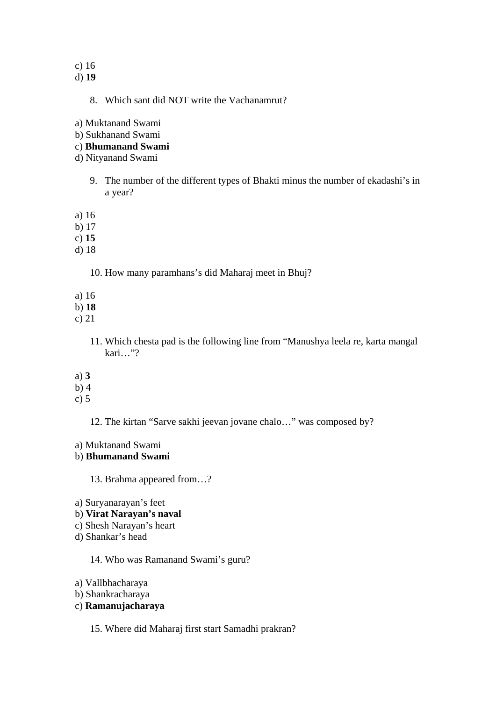### c) 16

d) **19**

8. Which sant did NOT write the Vachanamrut?

a) Muktanand Swami

b) Sukhanand Swami

## c) **Bhumanand Swami**

d) Nityanand Swami

- 9. The number of the different types of Bhakti minus the number of ekadashi's in a year?
- a) 16
- b) 17
- c) **15**
- d) 18

10. How many paramhans's did Maharaj meet in Bhuj?

- a) 16
- b) **18**
- c) 21
	- 11. Which chesta pad is the following line from "Manushya leela re, karta mangal kari…"?
- a) **3**
- b) 4
- c) 5

12. The kirtan "Sarve sakhi jeevan jovane chalo…" was composed by?

a) Muktanand Swami

## b) **Bhumanand Swami**

13. Brahma appeared from…?

a) Suryanarayan's feet

## b) **Virat Narayan's naval**

- c) Shesh Narayan's heart
- d) Shankar's head

14. Who was Ramanand Swami's guru?

- a) Vallbhacharaya
- b) Shankracharaya

# c) **Ramanujacharaya**

15. Where did Maharaj first start Samadhi prakran?